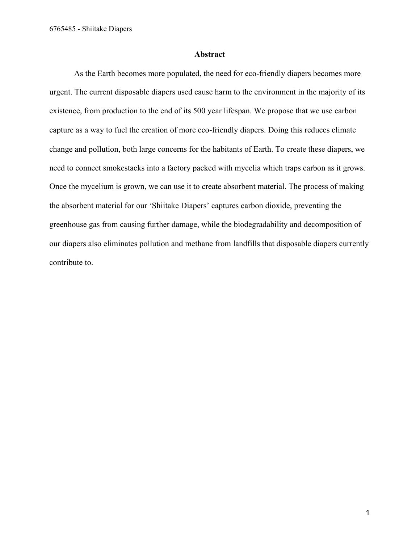#### **Abstract**

As the Earth becomes more populated, the need for eco-friendly diapers becomes more urgent. The current disposable diapers used cause harm to the environment in the majority of its existence, from production to the end of its 500 year lifespan. We propose that we use carbon capture as a way to fuel the creation of more eco-friendly diapers. Doing this reduces climate change and pollution, both large concerns for the habitants of Earth. To create these diapers, we need to connect smokestacks into a factory packed with mycelia which traps carbon as it grows. Once the mycelium is grown, we can use it to create absorbent material. The process of making the absorbent material for our 'Shiitake Diapers' captures carbon dioxide, preventing the greenhouse gas from causing further damage, while the biodegradability and decomposition of our diapers also eliminates pollution and methane from landfills that disposable diapers currently contribute to.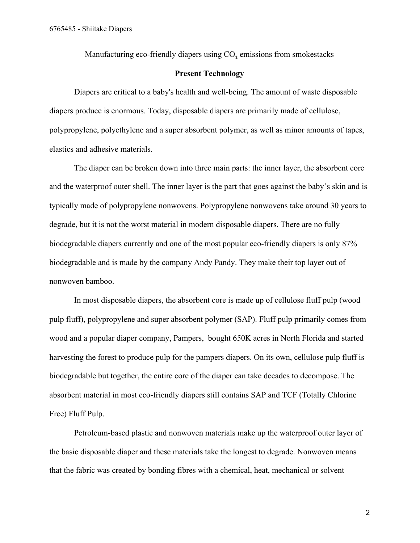Manufacturing eco-friendly diapers using CO<sub>2</sub> emissions from smokestacks

## **Present Technology**

Diapers are critical to a baby's health and well-being. The amount of waste disposable diapers produce is enormous. Today, disposable diapers are primarily made of cellulose, polypropylene, polyethylene and a super absorbent polymer, as well as minor amounts of tapes, elastics and adhesive materials.

The diaper can be broken down into three main parts: the inner layer, the absorbent core and the waterproof outer shell. The inner layer is the part that goes against the baby's skin and is typically made of polypropylene nonwovens. Polypropylene nonwovens take around 30 years to degrade, but it is not the worst material in modern disposable diapers. There are no fully biodegradable diapers currently and one of the most popular eco-friendly diapers is only 87% biodegradable and is made by the company Andy Pandy. They make their top layer out of nonwoven bamboo.

In most disposable diapers, the absorbent core is made up of cellulose fluff pulp (wood pulp fluff), polypropylene and super absorbent polymer (SAP). Fluff pulp primarily comes from wood and a popular diaper company, Pampers, bought 650K acres in North Florida and started harvesting the forest to produce pulp for the pampers diapers. On its own, cellulose pulp fluff is biodegradable but together, the entire core of the diaper can take decades to decompose. The absorbent material in most eco-friendly diapers still contains SAP and TCF (Totally Chlorine Free) Fluff Pulp.

Petroleum-based plastic and nonwoven materials make up the waterproof outer layer of the basic disposable diaper and these materials take the longest to degrade. Nonwoven means that the fabric was created by bonding fibres with a chemical, heat, mechanical or solvent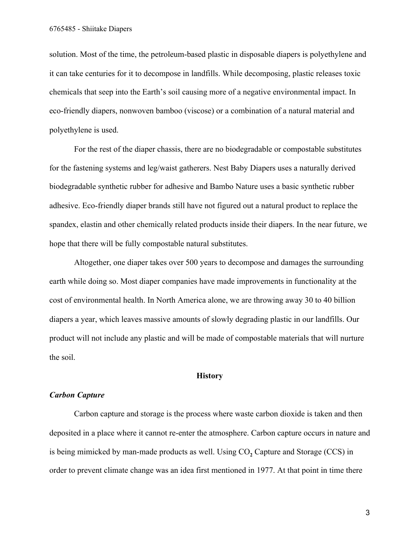solution. Most of the time, the petroleum-based plastic in disposable diapers is polyethylene and it can take centuries for it to decompose in landfills. While decomposing, plastic releases toxic chemicals that seep into the Earth's soil causing more of a negative environmental impact. In eco-friendly diapers, nonwoven bamboo (viscose) or a combination of a natural material and polyethylene is used.

For the rest of the diaper chassis, there are no biodegradable or compostable substitutes for the fastening systems and leg/waist gatherers. Nest Baby Diapers uses a naturally derived biodegradable synthetic rubber for adhesive and Bambo Nature uses a basic synthetic rubber adhesive. Eco-friendly diaper brands still have not figured out a natural product to replace the spandex, elastin and other chemically related products inside their diapers. In the near future, we hope that there will be fully compostable natural substitutes.

Altogether, one diaper takes over 500 years to decompose and damages the surrounding earth while doing so. Most diaper companies have made improvements in functionality at the cost of environmental health. In North America alone, we are throwing away 30 to 40 billion diapers a year, which leaves massive amounts of slowly degrading plastic in our landfills. Our product will not include any plastic and will be made of compostable materials that will nurture the soil.

## **History**

#### *Carbon Capture*

Carbon capture and storage is the process where waste carbon dioxide is taken and then deposited in a place where it cannot re-enter the atmosphere. Carbon capture occurs in nature and is being mimicked by man-made products as well. Using  $CO<sub>2</sub>$  Capture and Storage (CCS) in order to prevent climate change was an idea first mentioned in 1977. At that point in time there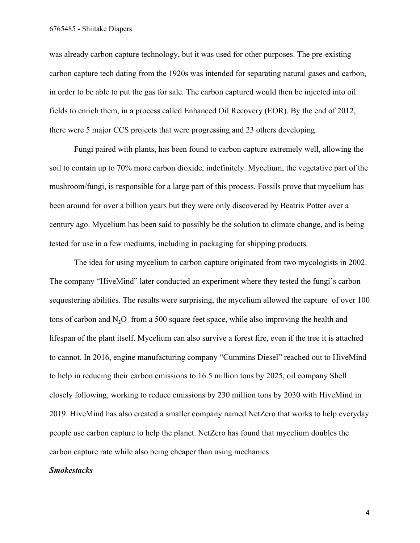was already carbon capture technology, but it was used for other purposes. The pre-existing carbon capture tech dating from the 1920s was intended for separating natural gases and carbon, in order to be able to put the gas for sale. The carbon captured would then be injected into oil fields to enrich them, in a process called Enhanced Oil Recovery (EOR). By the end of 2012, there were 5 major CCS projects that were progressing and 23 others developing.

Fungi paired with plants, has been found to carbon capture extremely well, allowing the soil to contain up to 70% more carbon dioxide, indefinitely. Mycelium, the vegetative part of the mushroom/fungi, is responsible for a large part of this process. Fossils prove that mycelium has been around for over a billion years but they were only discovered by Beatrix Potter over a century ago. Mycelium has been said to possibly be the solution to climate change, and is being tested for use in a few mediums, including in packaging for shipping products.

The idea for using mycelium to carbon capture originated from two mycologists in 2002. The company "HiveMind" later conducted an experiment where they tested the fungi's carbon sequestering abilities. The results were surprising, the mycelium allowed the capture of over 100 tons of carbon and N**2**O from a 500 square feet space, while also improving the health and lifespan of the plant itself. Mycelium can also survive a forest fire, even if the tree it is attached to cannot. In 2016, engine manufacturing company "Cummins Diesel" reached out to HiveMind to help in reducing their carbon emissions to 16.5 million tons by 2025, oil company Shell closely following, working to reduce emissions by 230 million tons by 2030 with HiveMind in 2019. HiveMind has also created a smaller company named NetZero that works to help everyday people use carbon capture to help the planet. NetZero has found that mycelium doubles the carbon capture rate while also being cheaper than using mechanics.

#### *Smokestacks*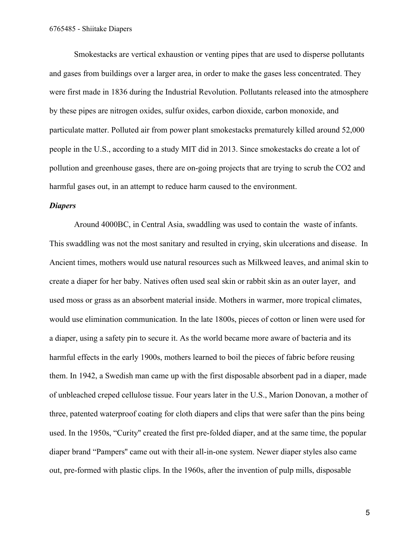Smokestacks are vertical exhaustion or venting pipes that are used to disperse pollutants and gases from buildings over a larger area, in order to make the gases less concentrated. They were first made in 1836 during the Industrial Revolution. Pollutants released into the atmosphere by these pipes are nitrogen oxides, sulfur oxides, carbon dioxide, carbon monoxide, and particulate matter. Polluted air from power plant smokestacks prematurely killed around 52,000 people in the U.S., according to a study MIT did in 2013. Since smokestacks do create a lot of pollution and greenhouse gases, there are on-going projects that are trying to scrub the CO2 and harmful gases out, in an attempt to reduce harm caused to the environment.

## *Diapers*

Around 4000BC, in Central Asia, swaddling was used to contain the waste of infants. This swaddling was not the most sanitary and resulted in crying, skin ulcerations and disease. In Ancient times, mothers would use natural resources such as Milkweed leaves, and animal skin to create a diaper for her baby. Natives often used seal skin or rabbit skin as an outer layer, and used moss or grass as an absorbent material inside. Mothers in warmer, more tropical climates, would use elimination communication. In the late 1800s, pieces of cotton or linen were used for a diaper, using a safety pin to secure it. As the world became more aware of bacteria and its harmful effects in the early 1900s, mothers learned to boil the pieces of fabric before reusing them. In 1942, a Swedish man came up with the first disposable absorbent pad in a diaper, made of unbleached creped cellulose tissue. Four years later in the U.S., Marion Donovan, a mother of three, patented waterproof coating for cloth diapers and clips that were safer than the pins being used. In the 1950s, "Curity'' created the first pre-folded diaper, and at the same time, the popular diaper brand "Pampers'' came out with their all-in-one system. Newer diaper styles also came out, pre-formed with plastic clips. In the 1960s, after the invention of pulp mills, disposable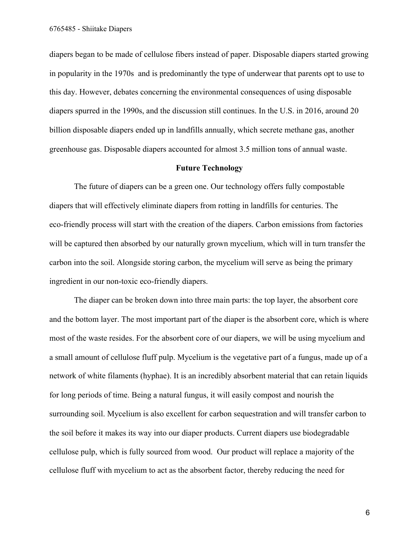diapers began to be made of cellulose fibers instead of paper. Disposable diapers started growing in popularity in the 1970s and is predominantly the type of underwear that parents opt to use to this day. However, debates concerning the environmental consequences of using disposable diapers spurred in the 1990s, and the discussion still continues. In the U.S. in 2016, around 20 billion disposable diapers ended up in landfills annually, which secrete methane gas, another greenhouse gas. Disposable diapers accounted for almost 3.5 million tons of annual waste.

## **Future Technology**

The future of diapers can be a green one. Our technology offers fully compostable diapers that will effectively eliminate diapers from rotting in landfills for centuries. The eco-friendly process will start with the creation of the diapers. Carbon emissions from factories will be captured then absorbed by our naturally grown mycelium, which will in turn transfer the carbon into the soil. Alongside storing carbon, the mycelium will serve as being the primary ingredient in our non-toxic eco-friendly diapers.

The diaper can be broken down into three main parts: the top layer, the absorbent core and the bottom layer. The most important part of the diaper is the absorbent core, which is where most of the waste resides. For the absorbent core of our diapers, we will be using mycelium and a small amount of cellulose fluff pulp. Mycelium is the vegetative part of a fungus, made up of a network of white filaments (hyphae). It is an incredibly absorbent material that can retain liquids for long periods of time. Being a natural fungus, it will easily compost and nourish the surrounding soil. Mycelium is also excellent for carbon sequestration and will transfer carbon to the soil before it makes its way into our diaper products. Current diapers use biodegradable cellulose pulp, which is fully sourced from wood. Our product will replace a majority of the cellulose fluff with mycelium to act as the absorbent factor, thereby reducing the need for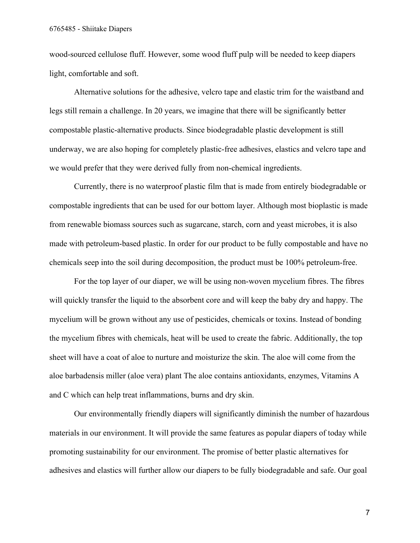wood-sourced cellulose fluff. However, some wood fluff pulp will be needed to keep diapers light, comfortable and soft.

Alternative solutions for the adhesive, velcro tape and elastic trim for the waistband and legs still remain a challenge. In 20 years, we imagine that there will be significantly better compostable plastic-alternative products. Since biodegradable plastic development is still underway, we are also hoping for completely plastic-free adhesives, elastics and velcro tape and we would prefer that they were derived fully from non-chemical ingredients.

Currently, there is no waterproof plastic film that is made from entirely biodegradable or compostable ingredients that can be used for our bottom layer. Although most bioplastic is made from renewable biomass sources such as sugarcane, starch, corn and yeast microbes, it is also made with petroleum-based plastic. In order for our product to be fully compostable and have no chemicals seep into the soil during decomposition, the product must be 100% petroleum-free.

For the top layer of our diaper, we will be using non-woven mycelium fibres. The fibres will quickly transfer the liquid to the absorbent core and will keep the baby dry and happy. The mycelium will be grown without any use of pesticides, chemicals or toxins. Instead of bonding the mycelium fibres with chemicals, heat will be used to create the fabric. Additionally, the top sheet will have a coat of aloe to nurture and moisturize the skin. The aloe will come from the aloe barbadensis miller (aloe vera) plant The aloe contains antioxidants, enzymes, Vitamins A and C which can help treat inflammations, burns and dry skin.

Our environmentally friendly diapers will significantly diminish the number of hazardous materials in our environment. It will provide the same features as popular diapers of today while promoting sustainability for our environment. The promise of better plastic alternatives for adhesives and elastics will further allow our diapers to be fully biodegradable and safe. Our goal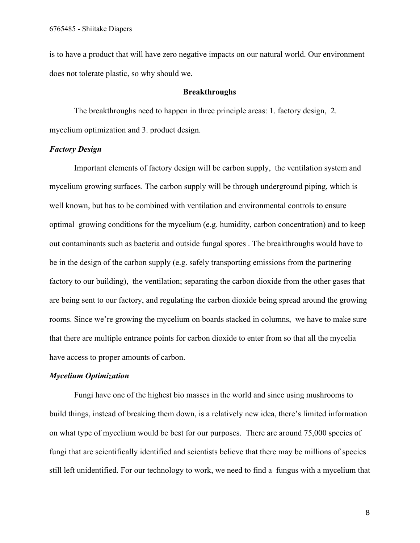is to have a product that will have zero negative impacts on our natural world. Our environment does not tolerate plastic, so why should we.

### **Breakthroughs**

The breakthroughs need to happen in three principle areas: 1. factory design, 2. mycelium optimization and 3. product design.

### *Factory Design*

Important elements of factory design will be carbon supply, the ventilation system and mycelium growing surfaces. The carbon supply will be through underground piping, which is well known, but has to be combined with ventilation and environmental controls to ensure optimal growing conditions for the mycelium (e.g. humidity, carbon concentration) and to keep out contaminants such as bacteria and outside fungal spores . The breakthroughs would have to be in the design of the carbon supply (e.g. safely transporting emissions from the partnering factory to our building), the ventilation; separating the carbon dioxide from the other gases that are being sent to our factory, and regulating the carbon dioxide being spread around the growing rooms. Since we're growing the mycelium on boards stacked in columns, we have to make sure that there are multiple entrance points for carbon dioxide to enter from so that all the mycelia have access to proper amounts of carbon.

#### *Mycelium Optimization*

Fungi have one of the highest bio masses in the world and since using mushrooms to build things, instead of breaking them down, is a relatively new idea, there's limited information on what type of mycelium would be best for our purposes. There are around 75,000 species of fungi that are scientifically identified and scientists believe that there may be millions of species still left unidentified. For our technology to work, we need to find a fungus with a mycelium that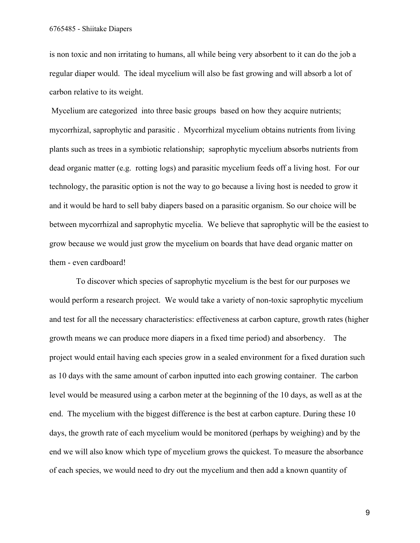is non toxic and non irritating to humans, all while being very absorbent to it can do the job a regular diaper would. The ideal mycelium will also be fast growing and will absorb a lot of carbon relative to its weight.

 Mycelium are categorized into three basic groups based on how they acquire nutrients; mycorrhizal, saprophytic and parasitic . Mycorrhizal mycelium obtains nutrients from living plants such as trees in a symbiotic relationship; saprophytic mycelium absorbs nutrients from dead organic matter (e.g. rotting logs) and parasitic mycelium feeds off a living host. For our technology, the parasitic option is not the way to go because a living host is needed to grow it and it would be hard to sell baby diapers based on a parasitic organism. So our choice will be between mycorrhizal and saprophytic mycelia. We believe that saprophytic will be the easiest to grow because we would just grow the mycelium on boards that have dead organic matter on them - even cardboard!

 To discover which species of saprophytic mycelium is the best for our purposes we would perform a research project. We would take a variety of non-toxic saprophytic mycelium and test for all the necessary characteristics: effectiveness at carbon capture, growth rates (higher growth means we can produce more diapers in a fixed time period) and absorbency. The project would entail having each species grow in a sealed environment for a fixed duration such as 10 days with the same amount of carbon inputted into each growing container. The carbon level would be measured using a carbon meter at the beginning of the 10 days, as well as at the end. The mycelium with the biggest difference is the best at carbon capture. During these 10 days, the growth rate of each mycelium would be monitored (perhaps by weighing) and by the end we will also know which type of mycelium grows the quickest. To measure the absorbance of each species, we would need to dry out the mycelium and then add a known quantity of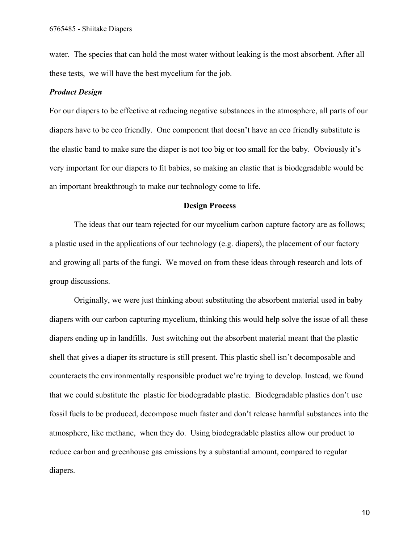water. The species that can hold the most water without leaking is the most absorbent. After all these tests, we will have the best mycelium for the job.

## *Product Design*

For our diapers to be effective at reducing negative substances in the atmosphere, all parts of our diapers have to be eco friendly. One component that doesn't have an eco friendly substitute is the elastic band to make sure the diaper is not too big or too small for the baby. Obviously it's very important for our diapers to fit babies, so making an elastic that is biodegradable would be an important breakthrough to make our technology come to life.

#### **Design Process**

The ideas that our team rejected for our mycelium carbon capture factory are as follows; a plastic used in the applications of our technology (e.g. diapers), the placement of our factory and growing all parts of the fungi. We moved on from these ideas through research and lots of group discussions.

Originally, we were just thinking about substituting the absorbent material used in baby diapers with our carbon capturing mycelium, thinking this would help solve the issue of all these diapers ending up in landfills. Just switching out the absorbent material meant that the plastic shell that gives a diaper its structure is still present. This plastic shell isn't decomposable and counteracts the environmentally responsible product we're trying to develop. Instead, we found that we could substitute the plastic for biodegradable plastic. Biodegradable plastics don't use fossil fuels to be produced, decompose much faster and don't release harmful substances into the atmosphere, like methane, when they do. Using biodegradable plastics allow our product to reduce carbon and greenhouse gas emissions by a substantial amount, compared to regular diapers.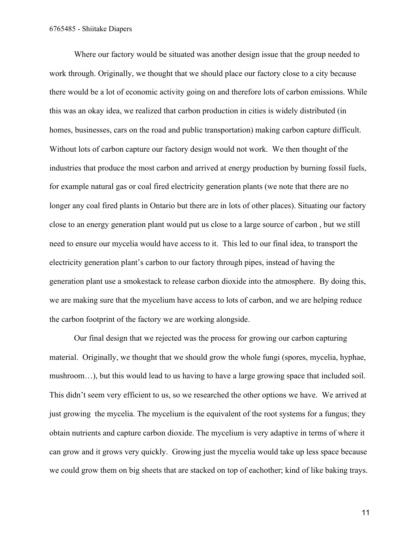Where our factory would be situated was another design issue that the group needed to work through. Originally, we thought that we should place our factory close to a city because there would be a lot of economic activity going on and therefore lots of carbon emissions. While this was an okay idea, we realized that carbon production in cities is widely distributed (in homes, businesses, cars on the road and public transportation) making carbon capture difficult. Without lots of carbon capture our factory design would not work. We then thought of the industries that produce the most carbon and arrived at energy production by burning fossil fuels, for example natural gas or coal fired electricity generation plants (we note that there are no longer any coal fired plants in Ontario but there are in lots of other places). Situating our factory close to an energy generation plant would put us close to a large source of carbon , but we still need to ensure our mycelia would have access to it. This led to our final idea, to transport the electricity generation plant's carbon to our factory through pipes, instead of having the generation plant use a smokestack to release carbon dioxide into the atmosphere. By doing this, we are making sure that the mycelium have access to lots of carbon, and we are helping reduce the carbon footprint of the factory we are working alongside.

Our final design that we rejected was the process for growing our carbon capturing material. Originally, we thought that we should grow the whole fungi (spores, mycelia, hyphae, mushroom…), but this would lead to us having to have a large growing space that included soil. This didn't seem very efficient to us, so we researched the other options we have. We arrived at just growing the mycelia. The mycelium is the equivalent of the root systems for a fungus; they obtain nutrients and capture carbon dioxide. The mycelium is very adaptive in terms of where it can grow and it grows very quickly. Growing just the mycelia would take up less space because we could grow them on big sheets that are stacked on top of eachother; kind of like baking trays.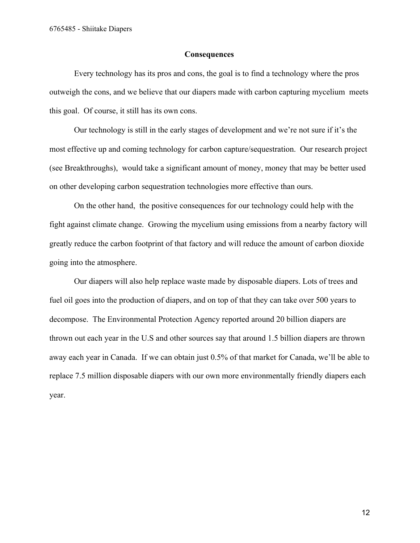6765485 - Shiitake Diapers

## **Consequences**

Every technology has its pros and cons, the goal is to find a technology where the pros outweigh the cons, and we believe that our diapers made with carbon capturing mycelium meets this goal. Of course, it still has its own cons.

Our technology is still in the early stages of development and we're not sure if it's the most effective up and coming technology for carbon capture/sequestration. Our research project (see Breakthroughs), would take a significant amount of money, money that may be better used on other developing carbon sequestration technologies more effective than ours.

On the other hand, the positive consequences for our technology could help with the fight against climate change. Growing the mycelium using emissions from a nearby factory will greatly reduce the carbon footprint of that factory and will reduce the amount of carbon dioxide going into the atmosphere.

Our diapers will also help replace waste made by disposable diapers. Lots of trees and fuel oil goes into the production of diapers, and on top of that they can take over 500 years to decompose. The Environmental Protection Agency reported around 20 billion diapers are thrown out each year in the U.S and other sources say that around 1.5 billion diapers are thrown away each year in Canada. If we can obtain just 0.5% of that market for Canada, we'll be able to replace 7.5 million disposable diapers with our own more environmentally friendly diapers each year.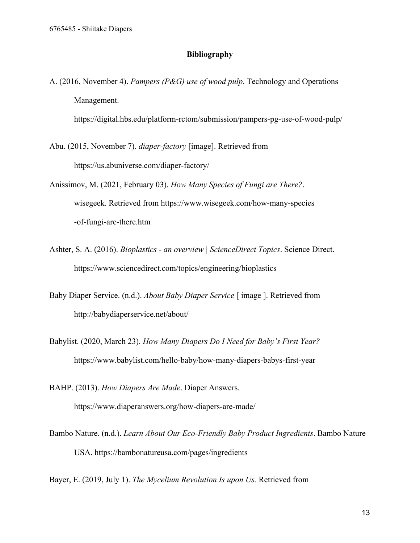## **Bibliography**

A. (2016, November 4). *Pampers (P&G) use of wood pulp*. Technology and Operations Management.

https://digital.hbs.edu/platform-rctom/submission/pampers-pg-use-of-wood-pulp/

- Abu. (2015, November 7). *diaper-factory* [image]. Retrieved from https://us.abuniverse.com/diaper-factory/
- Anissimov, M. (2021, February 03). *How Many Species of Fungi are There?*. wisegeek. Retrieved from https://www.wisegeek.com/how-many-species -of-fungi-are-there.htm
- Ashter, S. A. (2016). *Bioplastics an overview | ScienceDirect Topics*. Science Direct. https://www.sciencedirect.com/topics/engineering/bioplastics
- Baby Diaper Service. (n.d.). *About Baby Diaper Service* [ image ]. Retrieved from http://babydiaperservice.net/about/
- Babylist. (2020, March 23). *How Many Diapers Do I Need for Baby's First Year?* https://www.babylist.com/hello-baby/how-many-diapers-babys-first-year

BAHP. (2013). *How Diapers Are Made*. Diaper Answers. https://www.diaperanswers.org/how-diapers-are-made/

Bambo Nature. (n.d.). *Learn About Our Eco-Friendly Baby Product Ingredients*. Bambo Nature USA. https://bambonatureusa.com/pages/ingredients

Bayer, E. (2019, July 1). *The Mycelium Revolution Is upon Us.* Retrieved from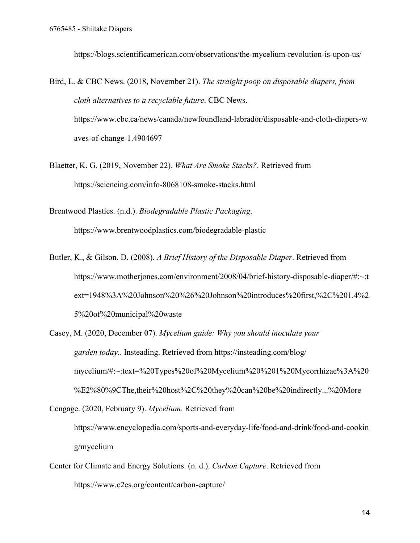https://blogs.scientificamerican.com/observations/the-mycelium-revolution-is-upon-us/

Bird, L. & CBC News. (2018, November 21). *The straight poop on disposable diapers, from cloth alternatives to a recyclable future*. CBC News. https://www.cbc.ca/news/canada/newfoundland-labrador/disposable-and-cloth-diapers-w aves-of-change-1.4904697

Blaetter, K. G. (2019, November 22). *What Are Smoke Stacks?*. Retrieved from https://sciencing.com/info-8068108-smoke-stacks.html

Brentwood Plastics. (n.d.). *Biodegradable Plastic Packaging*. https://www.brentwoodplastics.com/biodegradable-plastic

- Butler, K., & Gilson, D. (2008). *A Brief History of the Disposable Diaper*. Retrieved from https://www.motherjones.com/environment/2008/04/brief-history-disposable-diaper/#:~:t ext=1948%3A%20Johnson%20%26%20Johnson%20introduces%20first,%2C%201.4%2 5%20of%20municipal%20waste
- Casey, M. (2020, December 07). *Mycelium guide: Why you should inoculate your garden today*.. Insteading. Retrieved from https://insteading.com/blog/ mycelium/#:~:text=%20Types%20of%20Mycelium%20%201%20Mycorrhizae%3A%20 %E2%80%9CThe,their%20host%2C%20they%20can%20be%20indirectly...%20More

Cengage. (2020, February 9). *Mycelium*. Retrieved from

https://www.encyclopedia.com/sports-and-everyday-life/food-and-drink/food-and-cookin g/mycelium

Center for Climate and Energy Solutions. (n. d.). *Carbon Capture*. Retrieved from https://www.c2es.org/content/carbon-capture/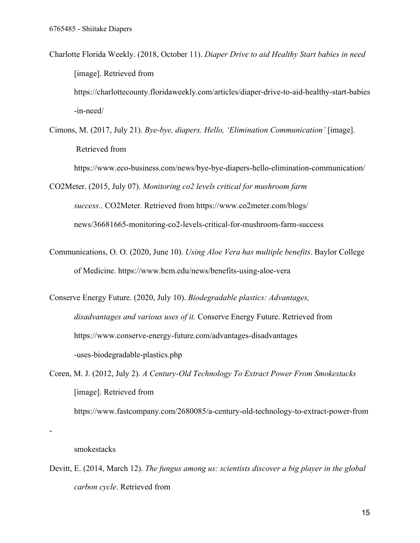- Charlotte Florida Weekly. (2018, October 11). *Diaper Drive to aid Healthy Start babies in need* [image]. Retrieved from https://charlottecounty.floridaweekly.com/articles/diaper-drive-to-aid-healthy-start-babies -in-need/
- Cimons, M. (2017, July 21). *Bye-bye, diapers. Hello, 'Elimination Communication'* [image]. Retrieved from

https://www.eco-business.com/news/bye-bye-diapers-hello-elimination-communication/

CO2Meter. (2015, July 07). *Monitoring co2 levels critical for mushroom farm success*.. CO2Meter. Retrieved from https://www.co2meter.com/blogs/ news/36681665-monitoring-co2-levels-critical-for-mushroom-farm-success

Communications, O. O. (2020, June 10). *Using Aloe Vera has multiple benefits*. Baylor College of Medicine. https://www.bcm.edu/news/benefits-using-aloe-vera

Conserve Energy Future. (2020, July 10). *Biodegradable plastics: Advantages, disadvantages and various uses of it.* Conserve Energy Future. Retrieved from https://www.conserve-energy-future.com/advantages-disadvantages -uses-biodegradable-plastics.php

Coren, M. J. (2012, July 2). *A Century-Old Technology To Extract Power From Smokestacks* [image]. Retrieved from

https://www.fastcompany.com/2680085/a-century-old-technology-to-extract-power-from

# smokestacks

-

Devitt, E. (2014, March 12). *The fungus among us: scientists discover a big player in the global carbon cycle*. Retrieved from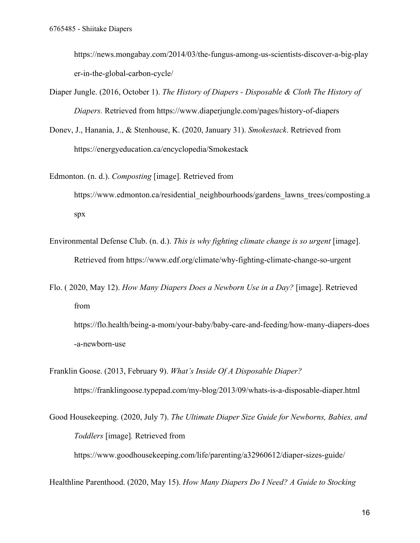https://news.mongabay.com/2014/03/the-fungus-among-us-scientists-discover-a-big-play er-in-the-global-carbon-cycle/

- Diaper Jungle. (2016, October 1). *The History of Diapers Disposable & Cloth The History of Diapers.* Retrieved from https://www.diaperjungle.com/pages/history-of-diapers
- Donev, J., Hanania, J., & Stenhouse, K. (2020, January 31). *Smokestack*. Retrieved from https://energyeducation.ca/encyclopedia/Smokestack
- Edmonton. (n. d.). *Composting* [image]. Retrieved from https://www.edmonton.ca/residential\_neighbourhoods/gardens\_lawns\_trees/composting.a spx
- Environmental Defense Club. (n. d.). *This is why fighting climate change is so urgent* [image]. Retrieved from https://www.edf.org/climate/why-fighting-climate-change-so-urgent
- Flo. ( 2020, May 12). *How Many Diapers Does a Newborn Use in a Day?* [image]. Retrieved from https://flo.health/being-a-mom/your-baby/baby-care-and-feeding/how-many-diapers-does

-a-newborn-use

Franklin Goose. (2013, February 9). *What's Inside Of A Disposable Diaper?* https://franklingoose.typepad.com/my-blog/2013/09/whats-is-a-disposable-diaper.html

Good Housekeeping. (2020, July 7). *The Ultimate Diaper Size Guide for Newborns, Babies, and Toddlers* [image]*.* Retrieved from https://www.goodhousekeeping.com/life/parenting/a32960612/diaper-sizes-guide/

Healthline Parenthood. (2020, May 15). *How Many Diapers Do I Need? A Guide to Stocking*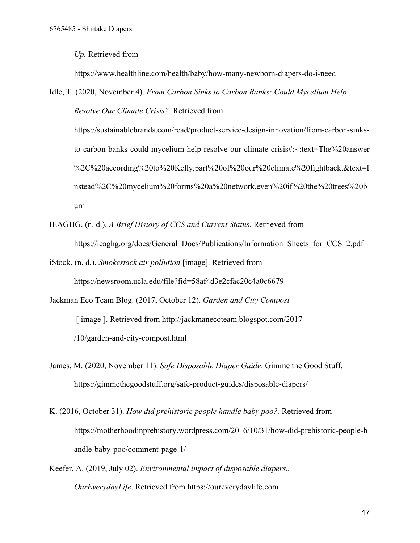*Up.* Retrieved from

https://www.healthline.com/health/baby/how-many-newborn-diapers-do-i-need

Idle, T. (2020, November 4). *From Carbon Sinks to Carbon Banks: Could Mycelium Help Resolve Our Climate Crisis?*. Retrieved from

https://sustainablebrands.com/read/product-service-design-innovation/from-carbon-sinksto-carbon-banks-could-mycelium-help-resolve-our-climate-crisis#:~:text=The%20answer %2C%20according%20to%20Kelly,part%20of%20our%20climate%20fightback.&text=I nstead%2C%20mycelium%20forms%20a%20network,even%20if%20the%20trees%20b urn

- IEAGHG. (n. d.). *A Brief History of CCS and Current Status.* Retrieved from https://ieaghg.org/docs/General\_Docs/Publications/Information\_Sheets\_for\_CCS\_2.pdf
- iStock. (n. d.). *Smokestack air pollution* [image]. Retrieved from https://newsroom.ucla.edu/file?fid=58af4d3e2cfac20c4a0c6679
- Jackman Eco Team Blog. (2017, October 12). *Garden and City Compost* [ image ]. Retrieved from http://jackmanecoteam.blogspot.com/2017 /10/garden-and-city-compost.html
- James, M. (2020, November 11). *Safe Disposable Diaper Guide*. Gimme the Good Stuff. https://gimmethegoodstuff.org/safe-product-guides/disposable-diapers/
- K. (2016, October 31). *How did prehistoric people handle baby poo?.* Retrieved from https://motherhoodinprehistory.wordpress.com/2016/10/31/how-did-prehistoric-people-h andle-baby-poo/comment-page-1/
- Keefer, A. (2019, July 02). *Environmental impact of disposable diapers.. OurEverydayLife*. Retrieved from https://oureverydaylife.com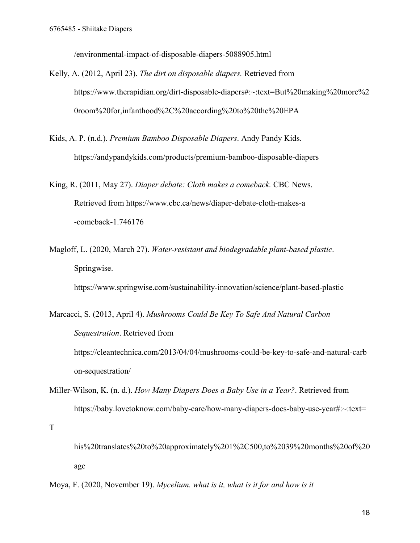/environmental-impact-of-disposable-diapers-5088905.html

- Kelly, A. (2012, April 23). *The dirt on disposable diapers.* Retrieved from https://www.therapidian.org/dirt-disposable-diapers#:~:text=But%20making%20more%2 0room%20for,infanthood%2C%20according%20to%20the%20EPA
- Kids, A. P. (n.d.). *Premium Bamboo Disposable Diapers*. Andy Pandy Kids. https://andypandykids.com/products/premium-bamboo-disposable-diapers
- King, R. (2011, May 27). *Diaper debate: Cloth makes a comeback.* CBC News. Retrieved from https://www.cbc.ca/news/diaper-debate-cloth-makes-a -comeback-1.746176
- Magloff, L. (2020, March 27). *Water-resistant and biodegradable plant-based plastic*. Springwise.

https://www.springwise.com/sustainability-innovation/science/plant-based-plastic

Marcacci, S. (2013, April 4). *Mushrooms Could Be Key To Safe And Natural Carbon Sequestration*. Retrieved from https://cleantechnica.com/2013/04/04/mushrooms-could-be-key-to-safe-and-natural-carb on-sequestration/

Miller-Wilson, K. (n. d.). *How Many Diapers Does a Baby Use in a Year?*. Retrieved from https://baby.lovetoknow.com/baby-care/how-many-diapers-does-baby-use-year#:~:text=

T

his%20translates%20to%20approximately%201%2C500,to%2039%20months%20of%20 age

Moya, F. (2020, November 19). *Mycelium. what is it, what is it for and how is it*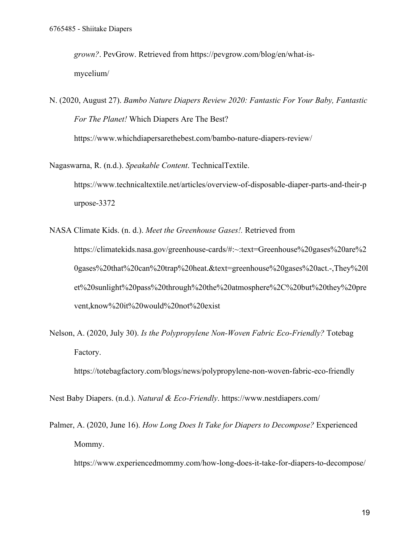*grown?*. PevGrow. Retrieved from https://pevgrow.com/blog/en/what-ismycelium/

N. (2020, August 27). *Bambo Nature Diapers Review 2020: Fantastic For Your Baby, Fantastic For The Planet!* Which Diapers Are The Best? https://www.whichdiapersarethebest.com/bambo-nature-diapers-review/

Nagaswarna, R. (n.d.). *Speakable Content*. TechnicalTextile. https://www.technicaltextile.net/articles/overview-of-disposable-diaper-parts-and-their-p urpose-3372

NASA Climate Kids. (n. d.). *Meet the Greenhouse Gases!.* Retrieved from https://climatekids.nasa.gov/greenhouse-cards/#:~:text=Greenhouse%20gases%20are%2 0gases%20that%20can%20trap%20heat.&text=greenhouse%20gases%20act.-,They%20l et%20sunlight%20pass%20through%20the%20atmosphere%2C%20but%20they%20pre vent,know%20it%20would%20not%20exist

Nelson, A. (2020, July 30). *Is the Polypropylene Non-Woven Fabric Eco-Friendly?* Totebag Factory.

https://totebagfactory.com/blogs/news/polypropylene-non-woven-fabric-eco-friendly

Nest Baby Diapers. (n.d.). *Natural & Eco-Friendly*. https://www.nestdiapers.com/

Palmer, A. (2020, June 16). *How Long Does It Take for Diapers to Decompose?* Experienced Mommy.

https://www.experiencedmommy.com/how-long-does-it-take-for-diapers-to-decompose/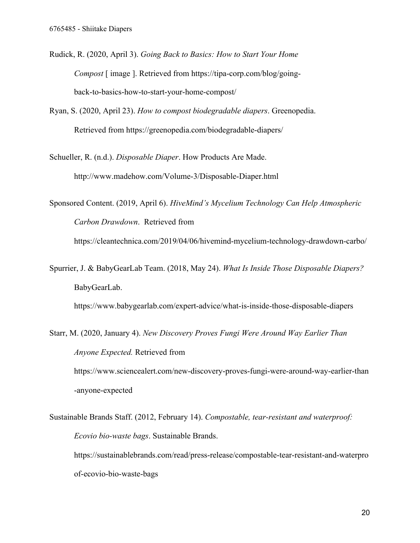- Rudick, R. (2020, April 3). *Going Back to Basics: How to Start Your Home Compost* [ image ]. Retrieved from https://tipa-corp.com/blog/goingback-to-basics-how-to-start-your-home-compost/
- Ryan, S. (2020, April 23). *How to compost biodegradable diapers*. Greenopedia. Retrieved from https://greenopedia.com/biodegradable-diapers/
- Schueller, R. (n.d.). *Disposable Diaper*. How Products Are Made. http://www.madehow.com/Volume-3/Disposable-Diaper.html

Sponsored Content. (2019, April 6). *HiveMind's Mycelium Technology Can Help Atmospheric Carbon Drawdown*. Retrieved from https://cleantechnica.com/2019/04/06/hivemind-mycelium-technology-drawdown-carbo/

Spurrier, J. & BabyGearLab Team. (2018, May 24). *What Is Inside Those Disposable Diapers?* BabyGearLab.

https://www.babygearlab.com/expert-advice/what-is-inside-those-disposable-diapers

Starr, M. (2020, January 4). *New Discovery Proves Fungi Were Around Way Earlier Than Anyone Expected.* Retrieved from https://www.sciencealert.com/new-discovery-proves-fungi-were-around-way-earlier-than -anyone-expected

Sustainable Brands Staff. (2012, February 14). *Compostable, tear-resistant and waterproof: Ecovio bio-waste bags*. Sustainable Brands. https://sustainablebrands.com/read/press-release/compostable-tear-resistant-and-waterpro of-ecovio-bio-waste-bags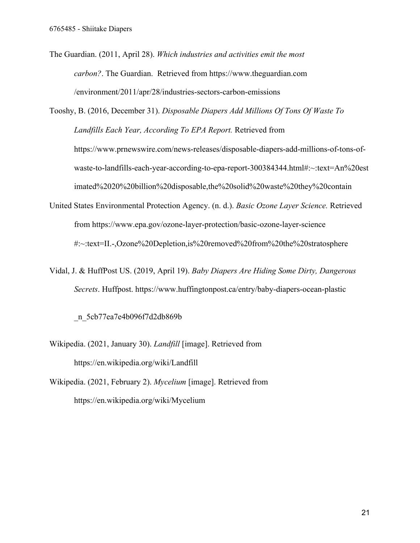The Guardian. (2011, April 28). *Which industries and activities emit the most carbon?*. The Guardian. Retrieved from https://www.theguardian.com /environment/2011/apr/28/industries-sectors-carbon-emissions

Tooshy, B. (2016, December 31). *Disposable Diapers Add Millions Of Tons Of Waste To Landfills Each Year, According To EPA Report.* Retrieved from https://www.prnewswire.com/news-releases/disposable-diapers-add-millions-of-tons-ofwaste-to-landfills-each-year-according-to-epa-report-300384344.html#:~:text=An%20est imated%2020%20billion%20disposable,the%20solid%20waste%20they%20contain

- United States Environmental Protection Agency. (n. d.). *Basic Ozone Layer Science.* Retrieved from https://www.epa.gov/ozone-layer-protection/basic-ozone-layer-science #:~:text=II.-,Ozone%20Depletion,is%20removed%20from%20the%20stratosphere
- Vidal, J. & HuffPost US. (2019, April 19). *Baby Diapers Are Hiding Some Dirty, Dangerous Secrets*. Huffpost. https://www.huffingtonpost.ca/entry/baby-diapers-ocean-plastic

\_n\_5cb77ea7e4b096f7d2db869b

- Wikipedia. (2021, January 30). *Landfill* [image]. Retrieved from https://en.wikipedia.org/wiki/Landfill
- Wikipedia. (2021, February 2). *Mycelium* [image]. Retrieved from https://en.wikipedia.org/wiki/Mycelium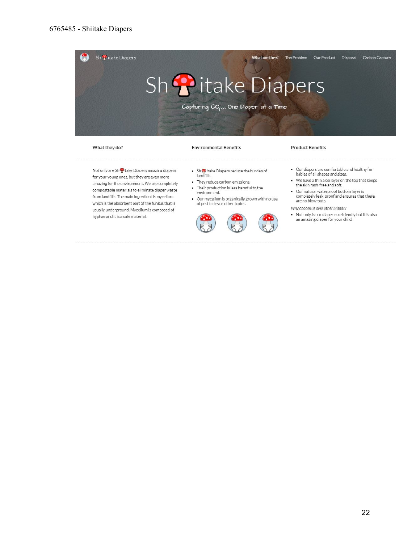

What they do?

#### **Environmental Benefits**

#### **Product Benefits**

Not only are Shoptake Diapers amazing diapers for your young ones, but they are even more amazing for the environment. We use completely compostable materials to eliminate diaper waste from landfills. The main ingredient is mycelium which is the absorbent part of the fungus that is usually underground. Mycelium is composed of hyphae and it is a safe material.

- Shotlitake Diapers reduce the burden of<br>landfills.
- · They reduce carbon emissions.
- Their production is less harmful to the<br>environment.
- Our mycelium is organically grown with no use<br>of pesticides or other toxins.



- . Our diapers are comfortable and healthy for babies of all shapes and sizes. . We have a thin aloe layer on the top that keeps
- the skin rash-free and soft. . Our natural waterproof bottom layer is
- completely leak-proof and ensures that there are no blow-outs.

Why choose us over other brands?

. Not only is our diaper eco-friendly but it is also an amazing diaper for your child.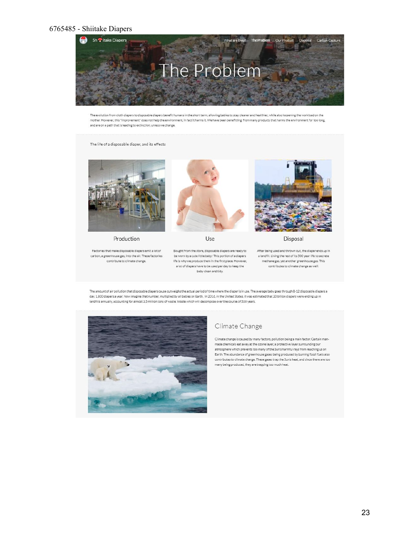# 6765485 - Shiitake Diapers



The evolution from cloth diapers to disposable diapers benefit humans in the short term, allowing babies to stay cleaner and healthier, while also loosening the workload on the mother. However, this "improvement" does not help the environment, in fact it harms it. We have been benefitting from many products that harms the environment for too long, and are on a path that is leading to extinction, unless we change.

#### The life of a disposable diaper, and its effects



Production

Factories that make disposable diapers emit a lot of carbon, a greenhouse gas, into the air. These factories contribute to climate change.





a lot of diapers have to be used per day to keep the

baby clean and tidy.



Disposal

After being used and thrown out, the diaper ends up in a landfill. Living the rest of its 500 year life to secrete methane gas, yet another greenhouse gas. This contributes to climate change as well.

The amount of air pollution that disposable diapers cause outweighs the actual period of time where the diaper is in use. The average baby goes through 8-12 disposable diapers a day, 1,800 diapers a year. Now imagine that number, multiplied by all babies on Earth. In 2016, in the United States, it was estimated that 20 billion diapers were ending up in landfills annually, accounting for almost 3.5 million tons of waste. Waste which will decompose over the course of 500 years.



#### Climate Change

Climate change is caused by many factors, pollution being a main factor. Certain manmade chemicals eat away at the ozone layer, a protective layer surrounding our atmosphere which prevents too many of the Sun's harmful rays from reaching us on Earth. The abundance of greenhouse gases being produced by burning fossil fuels also contributes to climate change. These gases trap the Sun's heat, and since there are too many being produced, they are trapping too much heat.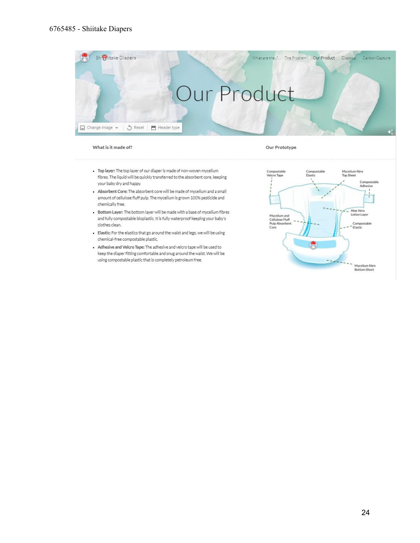

#### What is it made of?

#### Our Prototype

- . Top layer: The top layer of our diaper is made of non-woven mycelium fibres. The liquid will be quickly transferred to the absorbent core, keeping your baby dry and happy.
- . Absorbent Core: The absorbent core will be made of mycelium and a small amount of cellulose fluff pulp. The mycelium is grown 100% pesticide and chemically free.
- . Bottom Layer: The bottom layer will be made with a base of mycelium fibres and fully compostable bioplastic. It is fully waterproof keeping your baby's clothes clean.
- · Elastic: For the elastics that go around the waist and legs, we will be using chemical-free compostable plastic.
- . Adhesive and Velcro Tape: The adhesive and velcro tape will be used to keep the diaper fitting comfortable and snug around the waist. We will be using compostable plastic that is completely petroleum free.

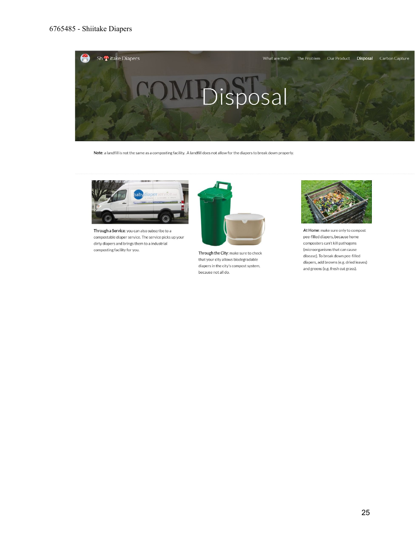

Note: a landfill is not the same as a composting facility. A landfill does not allow for the diapers to break down properly.



Through a Service: you can also subscribe to a compostable diaper service. The service picks up your dirty diapers and brings them to a industrial composting facility for you.



Through the City: make sure to check that your city allows biodegradable diapers in the city's compost system, because not all do.



At Home: make sure only to compost pee-filled diapers, because home composters can't kill pathogens (microorganisms that can cause disease). To break down pee-filled diapers, add browns (e.g. dried leaves) and greens (e.g. fresh cut grass).